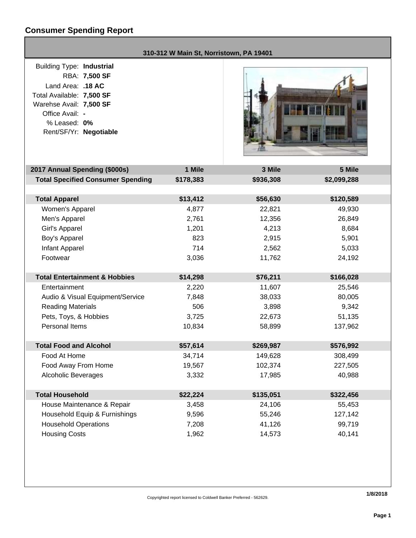# **Consumer Spending Report**

|                                                                                                                                                                                                                                                                                                          | 310-312 W Main St, Norristown, PA 19401                                                                            |                                                                                                                                |                                                                                                                                   |
|----------------------------------------------------------------------------------------------------------------------------------------------------------------------------------------------------------------------------------------------------------------------------------------------------------|--------------------------------------------------------------------------------------------------------------------|--------------------------------------------------------------------------------------------------------------------------------|-----------------------------------------------------------------------------------------------------------------------------------|
| <b>Building Type: Industrial</b><br>RBA: 7,500 SF<br>Land Area: .18 AC<br>Total Available: 7,500 SF<br>Warehse Avail: 7,500 SF<br>Office Avail: -<br>% Leased: 0%<br>Rent/SF/Yr: Negotiable                                                                                                              |                                                                                                                    |                                                                                                                                |                                                                                                                                   |
| 2017 Annual Spending (\$000s)                                                                                                                                                                                                                                                                            | 1 Mile                                                                                                             | 3 Mile                                                                                                                         | 5 Mile                                                                                                                            |
| <b>Total Specified Consumer Spending</b>                                                                                                                                                                                                                                                                 | \$178,383                                                                                                          | \$936,308                                                                                                                      | \$2,099,288                                                                                                                       |
| <b>Total Apparel</b><br>Women's Apparel<br>Men's Apparel<br>Girl's Apparel<br>Boy's Apparel<br><b>Infant Apparel</b><br>Footwear<br><b>Total Entertainment &amp; Hobbies</b><br>Entertainment<br>Audio & Visual Equipment/Service<br><b>Reading Materials</b><br>Pets, Toys, & Hobbies<br>Personal Items | \$13,412<br>4,877<br>2,761<br>1,201<br>823<br>714<br>3,036<br>\$14,298<br>2,220<br>7,848<br>506<br>3,725<br>10,834 | \$56,630<br>22,821<br>12,356<br>4,213<br>2,915<br>2,562<br>11,762<br>\$76,211<br>11,607<br>38,033<br>3,898<br>22,673<br>58,899 | \$120,589<br>49,930<br>26,849<br>8,684<br>5,901<br>5,033<br>24,192<br>\$166,028<br>25,546<br>80,005<br>9,342<br>51,135<br>137,962 |
| <b>Total Food and Alcohol</b>                                                                                                                                                                                                                                                                            | \$57,614                                                                                                           | \$269,987                                                                                                                      | \$576,992                                                                                                                         |
| Food At Home<br>Food Away From Home<br><b>Alcoholic Beverages</b>                                                                                                                                                                                                                                        | 34,714<br>19,567<br>3,332                                                                                          | 149,628<br>102,374<br>17,985                                                                                                   | 308,499<br>227,505<br>40,988                                                                                                      |
| <b>Total Household</b>                                                                                                                                                                                                                                                                                   | \$22,224                                                                                                           | \$135,051                                                                                                                      | \$322,456                                                                                                                         |
| House Maintenance & Repair<br>Household Equip & Furnishings<br><b>Household Operations</b><br><b>Housing Costs</b>                                                                                                                                                                                       | 3,458<br>9,596<br>7,208<br>1,962                                                                                   | 24,106<br>55,246<br>41,126<br>14,573                                                                                           | 55,453<br>127,142<br>99,719<br>40,141                                                                                             |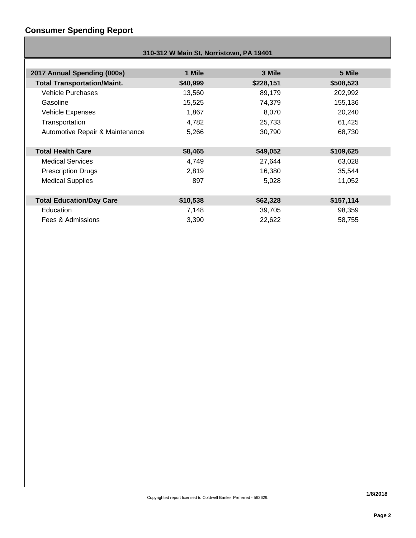# **Consumer Spending Report**

| 310-312 W Main St, Norristown, PA 19401 |          |           |           |  |  |  |  |
|-----------------------------------------|----------|-----------|-----------|--|--|--|--|
|                                         |          |           |           |  |  |  |  |
| 2017 Annual Spending (000s)             | 1 Mile   | 3 Mile    | 5 Mile    |  |  |  |  |
| <b>Total Transportation/Maint.</b>      | \$40,999 | \$228,151 | \$508,523 |  |  |  |  |
| <b>Vehicle Purchases</b>                | 13,560   | 89,179    | 202,992   |  |  |  |  |
| Gasoline                                | 15,525   | 74,379    | 155,136   |  |  |  |  |
| <b>Vehicle Expenses</b>                 | 1,867    | 8,070     | 20,240    |  |  |  |  |
| Transportation                          | 4,782    | 25,733    | 61,425    |  |  |  |  |
| Automotive Repair & Maintenance         | 5,266    | 30,790    | 68,730    |  |  |  |  |
|                                         |          |           |           |  |  |  |  |
| <b>Total Health Care</b>                | \$8,465  | \$49,052  | \$109,625 |  |  |  |  |
| <b>Medical Services</b>                 | 4,749    | 27,644    | 63,028    |  |  |  |  |
| <b>Prescription Drugs</b>               | 2,819    | 16,380    | 35,544    |  |  |  |  |
| <b>Medical Supplies</b>                 | 897      | 5,028     | 11,052    |  |  |  |  |
|                                         |          |           |           |  |  |  |  |
| <b>Total Education/Day Care</b>         | \$10,538 | \$62,328  | \$157,114 |  |  |  |  |
| Education                               | 7,148    | 39,705    | 98,359    |  |  |  |  |
| Fees & Admissions                       | 3,390    | 22,622    | 58,755    |  |  |  |  |
|                                         |          |           |           |  |  |  |  |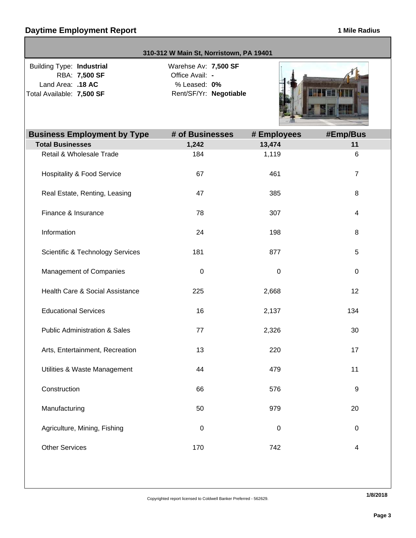#### **310-312 W Main St, Norristown, PA 19401**

**7,500 SF** Total Available: **.18 AC** Land Area: **Building Type: Industrial** RBA: **7,500 SF**

**0%** % Leased: **-** Office Avail: **7,500 SF** Warehse Av: Rent/SF/Yr: **Negotiable**



| <b>Business Employment by Type</b>          | # of Businesses | # Employees      | #Emp/Bus         |
|---------------------------------------------|-----------------|------------------|------------------|
| <b>Total Businesses</b>                     | 1,242           | 13,474           | 11               |
| Retail & Wholesale Trade                    | 184             | 1,119            | $\,6$            |
| <b>Hospitality &amp; Food Service</b>       | 67              | 461              | $\overline{7}$   |
| Real Estate, Renting, Leasing               | 47              | 385              | 8                |
| Finance & Insurance                         | 78              | 307              | 4                |
| Information                                 | 24              | 198              | 8                |
| <b>Scientific &amp; Technology Services</b> | 181             | 877              | 5                |
| <b>Management of Companies</b>              | $\pmb{0}$       | $\boldsymbol{0}$ | $\boldsymbol{0}$ |
| Health Care & Social Assistance             | 225             | 2,668            | 12               |
| <b>Educational Services</b>                 | 16              | 2,137            | 134              |
| <b>Public Administration &amp; Sales</b>    | 77              | 2,326            | 30               |
| Arts, Entertainment, Recreation             | 13              | 220              | 17               |
| Utilities & Waste Management                | 44              | 479              | 11               |
| Construction                                | 66              | 576              | $\boldsymbol{9}$ |
| Manufacturing                               | 50              | 979              | 20               |
| Agriculture, Mining, Fishing                | $\pmb{0}$       | $\boldsymbol{0}$ | $\boldsymbol{0}$ |
| <b>Other Services</b>                       | 170             | 742              | 4                |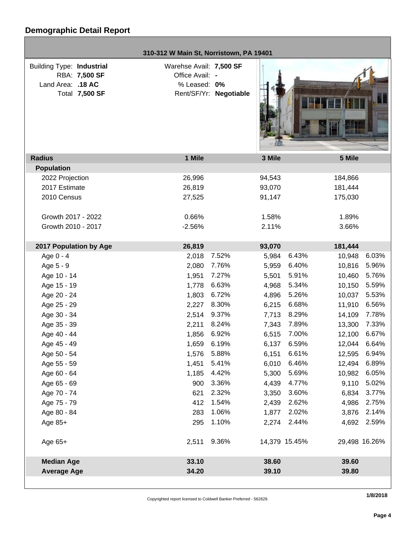| 310-312 W Main St, Norristown, PA 19401                                                   |                                                            |                        |        |               |               |       |
|-------------------------------------------------------------------------------------------|------------------------------------------------------------|------------------------|--------|---------------|---------------|-------|
| <b>Building Type: Industrial</b><br>RBA: 7,500 SF<br>Land Area: . 18 AC<br>Total 7,500 SF | Warehse Avail: 7,500 SF<br>Office Avail: -<br>% Leased: 0% | Rent/SF/Yr: Negotiable |        |               |               |       |
| <b>Radius</b>                                                                             | 1 Mile                                                     |                        | 3 Mile |               | 5 Mile        |       |
| <b>Population</b>                                                                         |                                                            |                        |        |               |               |       |
| 2022 Projection                                                                           | 26,996                                                     |                        | 94,543 |               | 184,866       |       |
| 2017 Estimate                                                                             | 26,819                                                     |                        | 93,070 |               | 181,444       |       |
| 2010 Census                                                                               | 27,525                                                     |                        | 91,147 |               | 175,030       |       |
| Growth 2017 - 2022                                                                        | 0.66%                                                      |                        | 1.58%  |               | 1.89%         |       |
| Growth 2010 - 2017                                                                        | $-2.56%$                                                   |                        | 2.11%  |               | 3.66%         |       |
| 2017 Population by Age                                                                    | 26,819                                                     |                        | 93,070 |               | 181,444       |       |
| Age 0 - 4                                                                                 | 2,018                                                      | 7.52%                  | 5,984  | 6.43%         | 10,948        | 6.03% |
| Age 5 - 9                                                                                 | 2,080                                                      | 7.76%                  | 5,959  | 6.40%         | 10,816        | 5.96% |
| Age 10 - 14                                                                               | 1,951                                                      | 7.27%                  | 5,501  | 5.91%         | 10,460        | 5.76% |
| Age 15 - 19                                                                               | 1,778                                                      | 6.63%                  | 4,968  | 5.34%         | 10,150        | 5.59% |
| Age 20 - 24                                                                               | 1,803                                                      | 6.72%                  | 4,896  | 5.26%         | 10,037        | 5.53% |
| Age 25 - 29                                                                               | 2,227                                                      | 8.30%                  | 6,215  | 6.68%         | 11,910        | 6.56% |
| Age 30 - 34                                                                               | 2,514                                                      | 9.37%                  | 7,713  | 8.29%         | 14,109        | 7.78% |
| Age 35 - 39                                                                               | 2,211                                                      | 8.24%                  | 7,343  | 7.89%         | 13,300        | 7.33% |
| Age 40 - 44                                                                               | 1,856                                                      | 6.92%                  | 6,515  | 7.00%         | 12,100        | 6.67% |
| Age 45 - 49                                                                               | 1,659                                                      | 6.19%                  | 6,137  | 6.59%         | 12,044        | 6.64% |
| Age 50 - 54                                                                               | 1,576                                                      | 5.88%                  | 6,151  | 6.61%         | 12,595        | 6.94% |
| Age 55 - 59                                                                               | 1,451                                                      | 5.41%                  | 6,010  | 6.46%         | 12,494        | 6.89% |
| Age 60 - 64                                                                               | 1,185                                                      | 4.42%                  | 5,300  | 5.69%         | 10,982        | 6.05% |
| Age 65 - 69                                                                               | 900                                                        | 3.36%                  | 4,439  | 4.77%         | 9,110         | 5.02% |
| Age 70 - 74                                                                               | 621                                                        | 2.32%                  | 3,350  | 3.60%         | 6,834         | 3.77% |
| Age 75 - 79                                                                               | 412                                                        | 1.54%                  | 2,439  | 2.62%         | 4,986         | 2.75% |
| Age 80 - 84                                                                               | 283                                                        | 1.06%                  | 1,877  | 2.02%         | 3,876         | 2.14% |
| Age 85+                                                                                   | 295                                                        | 1.10%                  |        | 2,274 2.44%   | 4,692         | 2.59% |
| Age $65+$                                                                                 | 2,511                                                      | 9.36%                  |        | 14,379 15.45% | 29,498 16.26% |       |
| <b>Median Age</b>                                                                         | 33.10                                                      |                        | 38.60  |               | 39.60         |       |
| <b>Average Age</b>                                                                        | 34.20                                                      |                        | 39.10  |               | 39.80         |       |
|                                                                                           |                                                            |                        |        |               |               |       |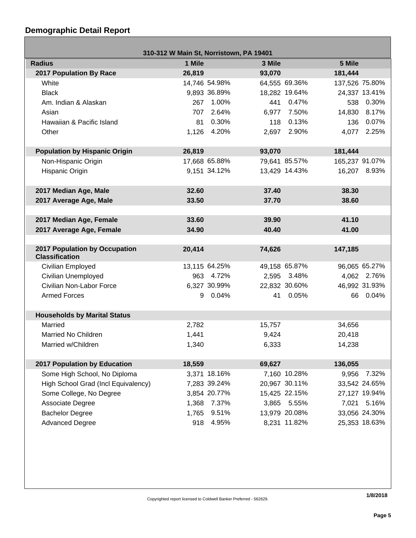# **Demographic Detail Report**

г

| 310-312 W Main St, Norristown, PA 19401                |                |               |                 |               |                  |               |  |
|--------------------------------------------------------|----------------|---------------|-----------------|---------------|------------------|---------------|--|
| <b>Radius</b>                                          | 1 Mile         |               | 3 Mile          |               | 5 Mile           |               |  |
| 2017 Population By Race                                | 26,819         |               | 93,070          |               | 181,444          |               |  |
| White                                                  |                | 14,746 54.98% |                 | 64,555 69.36% | 137,526 75.80%   |               |  |
| <b>Black</b>                                           |                | 9,893 36.89%  |                 | 18,282 19.64% |                  | 24,337 13.41% |  |
| Am. Indian & Alaskan                                   |                | 267 1.00%     | 441             | 0.47%         |                  | 538 0.30%     |  |
| Asian                                                  | 707            | 2.64%         |                 | 6,977 7.50%   | 14,830           | 8.17%         |  |
| Hawaiian & Pacific Island                              | 81             | 0.30%         | 118             | 0.13%         | 136              | 0.07%         |  |
| Other                                                  |                | 1,126 4.20%   |                 | 2,697 2.90%   | 4,077            | 2.25%         |  |
| <b>Population by Hispanic Origin</b>                   | 26,819         |               | 93,070          |               | 181,444          |               |  |
| Non-Hispanic Origin                                    |                | 17,668 65.88% |                 | 79,641 85.57% | 165,237 91.07%   |               |  |
| Hispanic Origin                                        |                | 9,151 34.12%  |                 | 13,429 14.43% |                  | 16,207 8.93%  |  |
|                                                        |                |               |                 |               |                  |               |  |
| 2017 Median Age, Male                                  | 32.60          |               | 37.40           |               | 38.30            |               |  |
| 2017 Average Age, Male                                 | 33.50          |               | 37.70           |               | 38.60            |               |  |
|                                                        |                |               |                 |               |                  |               |  |
| 2017 Median Age, Female                                | 33.60          |               | 39.90           |               | 41.10            |               |  |
| 2017 Average Age, Female                               | 34.90          |               | 40.40           |               | 41.00            |               |  |
|                                                        |                |               |                 |               |                  |               |  |
| 2017 Population by Occupation<br><b>Classification</b> | 20,414         |               | 74,626          |               | 147,185          |               |  |
| Civilian Employed                                      |                | 13,115 64.25% |                 | 49,158 65.87% |                  | 96,065 65.27% |  |
| Civilian Unemployed                                    |                | 963 4.72%     |                 | 2,595 3.48%   |                  | 4,062 2.76%   |  |
| Civilian Non-Labor Force                               |                | 6,327 30.99%  |                 | 22,832 30.60% |                  | 46,992 31.93% |  |
| <b>Armed Forces</b>                                    | 9              | 0.04%         |                 | 41 0.05%      |                  | 66 0.04%      |  |
|                                                        |                |               |                 |               |                  |               |  |
| <b>Households by Marital Status</b><br>Married         |                |               |                 |               |                  |               |  |
| Married No Children                                    | 2,782<br>1,441 |               | 15,757<br>9,424 |               | 34,656<br>20,418 |               |  |
|                                                        |                |               |                 |               |                  |               |  |
| Married w/Children                                     | 1,340          |               | 6,333           |               | 14,238           |               |  |
| 2017 Population by Education                           | 18,559         |               | 69,627          |               | 136,055          |               |  |
| Some High School, No Diploma                           |                | 3,371 18.16%  |                 | 7,160 10.28%  | 9,956            | 7.32%         |  |
| High School Grad (Incl Equivalency)                    |                | 7,283 39.24%  |                 | 20,967 30.11% |                  | 33,542 24.65% |  |
| Some College, No Degree                                |                | 3,854 20.77%  |                 | 15,425 22.15% |                  | 27,127 19.94% |  |
| Associate Degree                                       | 1,368          | 7.37%         | 3,865           | $5.55\%$      | 7,021            | 5.16%         |  |
| <b>Bachelor Degree</b>                                 | 1,765          | 9.51%         |                 | 13,979 20.08% |                  | 33,056 24.30% |  |
| <b>Advanced Degree</b>                                 | 918            | 4.95%         |                 | 8,231 11.82%  |                  | 25,353 18.63% |  |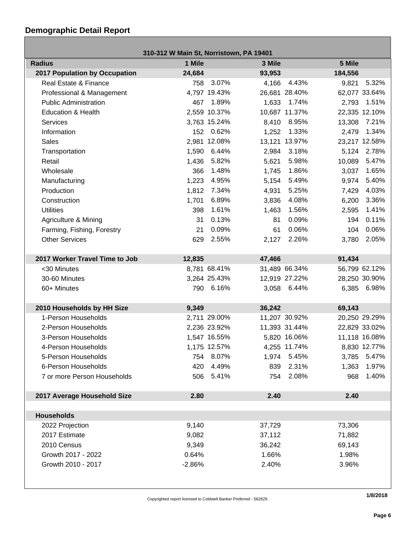# **Demographic Detail Report**

|                                      | 310-312 W Main St, Norristown, PA 19401 |              |        |               |         |               |
|--------------------------------------|-----------------------------------------|--------------|--------|---------------|---------|---------------|
| <b>Radius</b>                        | 1 Mile                                  |              | 3 Mile |               | 5 Mile  |               |
| <b>2017 Population by Occupation</b> | 24,684                                  |              | 93,953 |               | 184,556 |               |
| Real Estate & Finance                | 758                                     | 3.07%        | 4,166  | 4.43%         | 9,821   | 5.32%         |
| Professional & Management            |                                         | 4,797 19.43% |        | 26,681 28.40% |         | 62,077 33.64% |
| <b>Public Administration</b>         | 467                                     | 1.89%        | 1,633  | 1.74%         | 2,793   | 1.51%         |
| <b>Education &amp; Health</b>        |                                         | 2,559 10.37% |        | 10,687 11.37% |         | 22,335 12.10% |
| <b>Services</b>                      |                                         | 3,763 15.24% | 8,410  | 8.95%         | 13,308  | 7.21%         |
| Information                          |                                         | 152 0.62%    | 1,252  | 1.33%         | 2,479   | 1.34%         |
| <b>Sales</b>                         |                                         | 2,981 12.08% |        | 13,121 13.97% |         | 23,217 12.58% |
| Transportation                       | 1,590                                   | 6.44%        | 2,984  | 3.18%         | 5,124   | 2.78%         |
| Retail                               | 1,436                                   | 5.82%        | 5,621  | 5.98%         | 10,089  | 5.47%         |
| Wholesale                            | 366                                     | 1.48%        | 1,745  | 1.86%         | 3,037   | 1.65%         |
| Manufacturing                        | 1,223                                   | 4.95%        | 5,154  | 5.49%         | 9,974   | 5.40%         |
| Production                           | 1,812                                   | 7.34%        | 4,931  | 5.25%         | 7,429   | 4.03%         |
| Construction                         | 1,701                                   | 6.89%        | 3,836  | 4.08%         | 6,200   | 3.36%         |
| <b>Utilities</b>                     | 398                                     | 1.61%        | 1,463  | 1.56%         | 2,595   | 1.41%         |
| Agriculture & Mining                 | 31                                      | 0.13%        | 81     | 0.09%         | 194     | 0.11%         |
| Farming, Fishing, Forestry           | 21                                      | 0.09%        | 61     | 0.06%         | 104     | 0.06%         |
| <b>Other Services</b>                | 629                                     | 2.55%        | 2,127  | 2.26%         | 3,780   | 2.05%         |
|                                      |                                         |              |        |               |         |               |
| 2017 Worker Travel Time to Job       | 12,835                                  |              | 47,466 |               | 91,434  |               |
| <30 Minutes                          |                                         | 8,781 68.41% |        | 31,489 66.34% |         | 56,799 62.12% |
| 30-60 Minutes                        |                                         | 3,264 25.43% |        | 12,919 27.22% |         | 28,250 30.90% |
| 60+ Minutes                          |                                         | 790 6.16%    |        | 3,058 6.44%   |         | 6,385 6.98%   |
|                                      |                                         |              |        |               |         |               |
| 2010 Households by HH Size           | 9,349                                   |              | 36,242 |               | 69,143  |               |
| 1-Person Households                  |                                         | 2,711 29.00% |        | 11,207 30.92% |         | 20,250 29.29% |
| 2-Person Households                  |                                         | 2,236 23.92% |        | 11,393 31.44% |         | 22,829 33.02% |
| 3-Person Households                  |                                         | 1,547 16.55% |        | 5,820 16.06%  |         | 11,118 16.08% |
| 4-Person Households                  |                                         | 1,175 12.57% |        | 4,255 11.74%  |         | 8,830 12.77%  |
| 5-Person Households                  |                                         | 754 8.07%    |        | 1,974 5.45%   |         | 3,785 5.47%   |
| 6-Person Households                  | 420                                     | 4.49%        | 839    | 2.31%         | 1,363   | 1.97%         |
| 7 or more Person Households          | 506                                     | 5.41%        | 754    | 2.08%         | 968     | 1.40%         |
| 2017 Average Household Size          | 2.80                                    |              | 2.40   |               | 2.40    |               |
|                                      |                                         |              |        |               |         |               |
| <b>Households</b>                    |                                         |              |        |               |         |               |
| 2022 Projection                      | 9,140                                   |              | 37,729 |               | 73,306  |               |
| 2017 Estimate                        | 9,082                                   |              | 37,112 |               | 71,882  |               |
| 2010 Census                          | 9,349                                   |              | 36,242 |               | 69,143  |               |
| Growth 2017 - 2022                   | 0.64%                                   |              | 1.66%  |               | 1.98%   |               |
| Growth 2010 - 2017                   | $-2.86%$                                |              | 2.40%  |               | 3.96%   |               |
|                                      |                                         |              |        |               |         |               |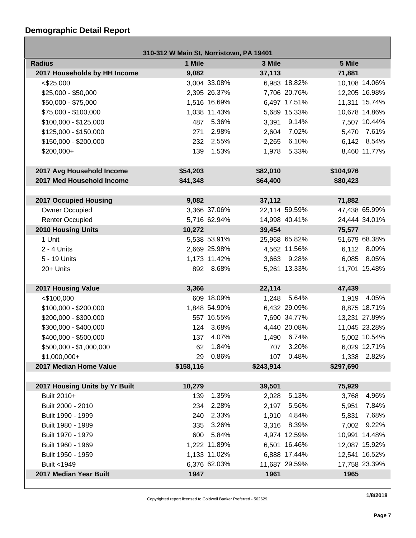# **Demographic Detail Report**

Г

| 310-312 W Main St, Norristown, PA 19401 |           |              |           |               |           |               |
|-----------------------------------------|-----------|--------------|-----------|---------------|-----------|---------------|
| <b>Radius</b>                           | 1 Mile    |              | 3 Mile    |               | 5 Mile    |               |
| 2017 Households by HH Income            | 9,082     |              | 37,113    |               | 71,881    |               |
| $<$ \$25,000                            |           | 3,004 33.08% |           | 6,983 18.82%  |           | 10,108 14.06% |
| $$25,000 - $50,000$                     |           | 2,395 26.37% |           | 7,706 20.76%  |           | 12,205 16.98% |
| \$50,000 - \$75,000                     |           | 1,516 16.69% |           | 6,497 17.51%  |           | 11,311 15.74% |
| \$75,000 - \$100,000                    |           | 1,038 11.43% |           | 5,689 15.33%  |           | 10,678 14.86% |
| $$100,000 - $125,000$                   |           | 487 5.36%    |           | 3,391 9.14%   |           | 7,507 10.44%  |
| \$125,000 - \$150,000                   |           | 271 2.98%    | 2,604     | 7.02%         |           | 5,470 7.61%   |
| \$150,000 - \$200,000                   |           | 232 2.55%    | 2,265     | 6.10%         |           | 6,142 8.54%   |
| \$200,000+                              | 139       | 1.53%        |           | 1,978 5.33%   |           | 8,460 11.77%  |
|                                         |           |              |           |               |           |               |
| 2017 Avg Household Income               | \$54,203  |              | \$82,010  |               | \$104,976 |               |
| 2017 Med Household Income               | \$41,348  |              | \$64,400  |               | \$80,423  |               |
|                                         |           |              |           |               |           |               |
| <b>2017 Occupied Housing</b>            | 9,082     |              | 37,112    |               | 71,882    |               |
| Owner Occupied                          |           | 3,366 37.06% |           | 22,114 59.59% |           | 47,438 65.99% |
| <b>Renter Occupied</b>                  |           | 5,716 62.94% |           | 14,998 40.41% |           | 24,444 34.01% |
| <b>2010 Housing Units</b>               | 10,272    |              | 39,454    |               | 75,577    |               |
| 1 Unit                                  |           | 5,538 53.91% |           | 25,968 65.82% |           | 51,679 68.38% |
| $2 - 4$ Units                           |           | 2,669 25.98% |           | 4,562 11.56%  |           | 6,112 8.09%   |
| 5 - 19 Units                            |           | 1,173 11.42% |           | 3,663 9.28%   |           | 6,085 8.05%   |
| 20+ Units                               |           | 892 8.68%    |           | 5,261 13.33%  |           | 11,701 15.48% |
|                                         |           |              |           |               |           |               |
| 2017 Housing Value                      | 3,366     |              | 22,114    |               | 47,439    |               |
| $<$ \$100,000                           |           | 609 18.09%   | 1,248     | 5.64%         |           | 1,919 4.05%   |
| \$100,000 - \$200,000                   |           | 1,848 54.90% |           | 6,432 29.09%  |           | 8,875 18.71%  |
| \$200,000 - \$300,000                   |           | 557 16.55%   |           | 7,690 34.77%  |           | 13,231 27.89% |
| \$300,000 - \$400,000                   |           | 124 3.68%    |           | 4,440 20.08%  |           | 11,045 23.28% |
| \$400,000 - \$500,000                   |           | 137 4.07%    |           | 1,490 6.74%   |           | 5,002 10.54%  |
| \$500,000 - \$1,000,000                 |           | 62 1.84%     |           | 707 3.20%     |           | 6,029 12.71%  |
| $$1,000,000+$                           | 29        | 0.86%        | 107       | 0.48%         |           | 1,338 2.82%   |
| 2017 Median Home Value                  | \$158,116 |              | \$243,914 |               | \$297,690 |               |
|                                         |           |              |           |               |           |               |
| 2017 Housing Units by Yr Built          | 10,279    |              | 39,501    |               | 75,929    |               |
| Built 2010+                             | 139       | 1.35%        | 2,028     | 5.13%         | 3,768     | 4.96%         |
| Built 2000 - 2010                       | 234       | 2.28%        | 2,197     | 5.56%         | 5,951     | 7.84%         |
| Built 1990 - 1999                       | 240       | 2.33%        | 1,910     | 4.84%         | 5,831     | 7.68%         |
| Built 1980 - 1989                       | 335       | 3.26%        |           | 3,316 8.39%   |           | 7,002 9.22%   |
| Built 1970 - 1979                       | 600       | 5.84%        |           | 4,974 12.59%  |           | 10,991 14.48% |
| Built 1960 - 1969                       |           | 1,222 11.89% |           | 6,501 16.46%  |           | 12,087 15.92% |
| Built 1950 - 1959                       |           | 1,133 11.02% |           | 6,888 17.44%  |           | 12,541 16.52% |
| Built <1949                             |           | 6,376 62.03% |           | 11,687 29.59% |           | 17,758 23.39% |
| 2017 Median Year Built                  | 1947      |              | 1961      |               | 1965      |               |

Copyrighted report licensed to Coldwell Banker Preferred - 562629.

**1/8/2018**

- 1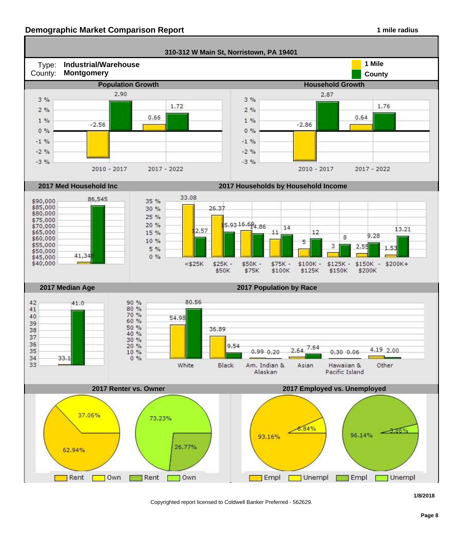#### **Demographic Market Comparison Report 1 mile radius 1 mile radius**

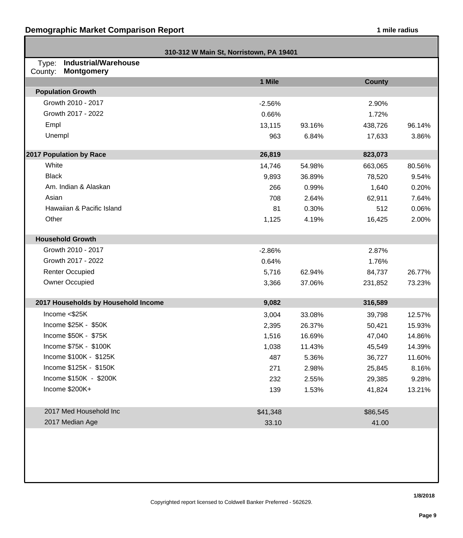| 310-312 W Main St, Norristown, PA 19401                              |          |        |               |        |  |  |
|----------------------------------------------------------------------|----------|--------|---------------|--------|--|--|
| <b>Industrial/Warehouse</b><br>Type:<br>County:<br><b>Montgomery</b> |          |        |               |        |  |  |
|                                                                      | 1 Mile   |        | <b>County</b> |        |  |  |
| <b>Population Growth</b>                                             |          |        |               |        |  |  |
| Growth 2010 - 2017                                                   | $-2.56%$ |        | 2.90%         |        |  |  |
| Growth 2017 - 2022                                                   | 0.66%    |        | 1.72%         |        |  |  |
| Empl                                                                 | 13,115   | 93.16% | 438,726       | 96.14% |  |  |
| Unempl                                                               | 963      | 6.84%  | 17,633        | 3.86%  |  |  |
| 2017 Population by Race                                              | 26,819   |        | 823,073       |        |  |  |
| White                                                                | 14,746   | 54.98% | 663,065       | 80.56% |  |  |
| <b>Black</b>                                                         | 9,893    | 36.89% | 78,520        | 9.54%  |  |  |
| Am. Indian & Alaskan                                                 | 266      | 0.99%  | 1,640         | 0.20%  |  |  |
| Asian                                                                | 708      | 2.64%  | 62,911        | 7.64%  |  |  |
| Hawaiian & Pacific Island                                            | 81       | 0.30%  | 512           | 0.06%  |  |  |
| Other                                                                | 1,125    | 4.19%  | 16,425        | 2.00%  |  |  |
| <b>Household Growth</b>                                              |          |        |               |        |  |  |
| Growth 2010 - 2017                                                   | $-2.86%$ |        | 2.87%         |        |  |  |
| Growth 2017 - 2022                                                   | 0.64%    |        | 1.76%         |        |  |  |
| <b>Renter Occupied</b>                                               | 5,716    | 62.94% | 84,737        | 26.77% |  |  |
| Owner Occupied                                                       | 3,366    | 37.06% | 231,852       | 73.23% |  |  |
| 2017 Households by Household Income                                  | 9,082    |        | 316,589       |        |  |  |
| Income $<$ \$25K                                                     | 3,004    | 33.08% | 39,798        | 12.57% |  |  |
| Income \$25K - \$50K                                                 | 2,395    | 26.37% | 50,421        | 15.93% |  |  |
| Income \$50K - \$75K                                                 | 1,516    | 16.69% | 47,040        | 14.86% |  |  |
| Income \$75K - \$100K                                                | 1,038    | 11.43% | 45,549        | 14.39% |  |  |
| Income \$100K - \$125K                                               | 487      | 5.36%  | 36,727        | 11.60% |  |  |
| Income \$125K - \$150K                                               | 271      | 2.98%  | 25,845        | 8.16%  |  |  |
| Income \$150K - \$200K                                               | 232      | 2.55%  | 29,385        | 9.28%  |  |  |
| Income \$200K+                                                       | 139      | 1.53%  | 41,824        | 13.21% |  |  |
| 2017 Med Household Inc                                               | \$41,348 |        | \$86,545      |        |  |  |
| 2017 Median Age                                                      | 33.10    |        | 41.00         |        |  |  |
|                                                                      |          |        |               |        |  |  |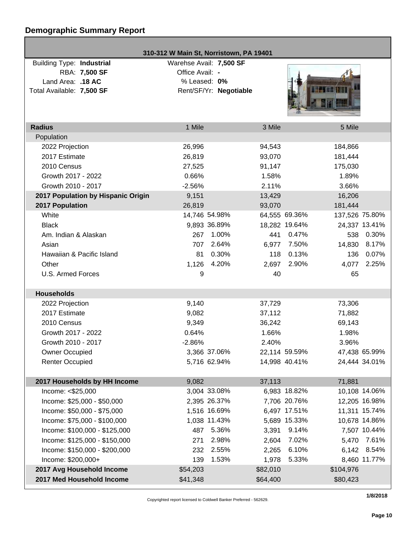# **Demographic Summary Report**

| 310-312 W Main St, Norristown, PA 19401                                                             |                                      |                                                   |              |                        |                        |  |
|-----------------------------------------------------------------------------------------------------|--------------------------------------|---------------------------------------------------|--------------|------------------------|------------------------|--|
| <b>Building Type: Industrial</b><br>RBA: 7,500 SF<br>Land Area: .18 AC<br>Total Available: 7,500 SF | Office Avail: -<br>$%$ Leased: $0\%$ | Warehse Avail: 7,500 SF<br>Rent/SF/Yr: Negotiable |              |                        |                        |  |
| <b>Radius</b>                                                                                       | 1 Mile                               |                                                   | 3 Mile       |                        | 5 Mile                 |  |
| Population                                                                                          |                                      |                                                   |              |                        |                        |  |
| 2022 Projection                                                                                     | 26,996                               |                                                   | 94,543       |                        | 184,866                |  |
| 2017 Estimate                                                                                       | 26,819                               |                                                   | 93,070       |                        | 181,444                |  |
| 2010 Census                                                                                         | 27,525                               |                                                   | 91,147       |                        | 175,030                |  |
| Growth 2017 - 2022                                                                                  | 0.66%                                |                                                   | 1.58%        |                        | 1.89%                  |  |
| Growth 2010 - 2017                                                                                  | $-2.56%$                             |                                                   | 2.11%        |                        | 3.66%                  |  |
| 2017 Population by Hispanic Origin                                                                  | 9,151                                |                                                   | 13,429       |                        | 16,206                 |  |
| 2017 Population                                                                                     | 26,819                               |                                                   | 93,070       |                        | 181,444                |  |
| White                                                                                               |                                      | 14,746 54.98%                                     |              | 64,555 69.36%          | 137,526 75.80%         |  |
| <b>Black</b>                                                                                        |                                      | 9,893 36.89%<br>1.00%                             |              | 18,282 19.64%<br>0.47% | 24,337 13.41%          |  |
| Am. Indian & Alaskan                                                                                | 267                                  | 2.64%                                             | 441          | 7.50%                  | 538 0.30%<br>8.17%     |  |
| Asian<br>Hawaiian & Pacific Island                                                                  | 707<br>81                            | 0.30%                                             | 6,977<br>118 | 0.13%                  | 14,830<br>0.07%<br>136 |  |
| Other                                                                                               | 1,126                                | 4.20%                                             | 2,697        | 2.90%                  | 2.25%<br>4,077         |  |
| U.S. Armed Forces                                                                                   | 9                                    |                                                   | 40           |                        | 65                     |  |
|                                                                                                     |                                      |                                                   |              |                        |                        |  |
| <b>Households</b>                                                                                   |                                      |                                                   |              |                        |                        |  |
| 2022 Projection                                                                                     | 9,140                                |                                                   | 37,729       |                        | 73,306                 |  |
| 2017 Estimate                                                                                       | 9,082                                |                                                   | 37,112       |                        | 71,882                 |  |
| 2010 Census                                                                                         | 9,349                                |                                                   | 36,242       |                        | 69,143                 |  |
| Growth 2017 - 2022                                                                                  | 0.64%                                |                                                   | 1.66%        |                        | 1.98%                  |  |
| Growth 2010 - 2017                                                                                  | $-2.86%$                             |                                                   | 2.40%        |                        | 3.96%                  |  |
| <b>Owner Occupied</b>                                                                               |                                      | 3,366 37.06%                                      |              | 22,114 59.59%          | 47,438 65.99%          |  |
| <b>Renter Occupied</b>                                                                              |                                      | 5,716 62.94%                                      |              | 14,998 40.41%          | 24,444 34.01%          |  |
| 2017 Households by HH Income                                                                        | 9,082                                |                                                   | 37,113       |                        | 71,881                 |  |
| Income: <\$25,000                                                                                   |                                      | 3,004 33.08%                                      |              | 6,983 18.82%           | 10,108 14.06%          |  |
| Income: \$25,000 - \$50,000                                                                         |                                      | 2,395 26.37%                                      |              | 7,706 20.76%           | 12,205 16.98%          |  |
| Income: \$50,000 - \$75,000                                                                         |                                      | 1,516 16.69%                                      |              | 6,497 17.51%           | 11,311 15.74%          |  |
| Income: \$75,000 - \$100,000                                                                        |                                      | 1,038 11.43%                                      |              | 5,689 15.33%           | 10,678 14.86%          |  |
| Income: \$100,000 - \$125,000                                                                       | 487                                  | 5.36%                                             | 3,391        | 9.14%                  | 7,507 10.44%           |  |
| Income: \$125,000 - \$150,000                                                                       | 271                                  | 2.98%                                             | 2,604        | 7.02%                  | 5,470 7.61%            |  |
| Income: \$150,000 - \$200,000                                                                       | 232                                  | 2.55%                                             | 2,265        | 6.10%                  | 6,142 8.54%            |  |
| Income: \$200,000+                                                                                  | 139                                  | 1.53%                                             | 1,978        | 5.33%                  | 8,460 11.77%           |  |
| 2017 Avg Household Income                                                                           | \$54,203                             |                                                   | \$82,010     |                        | \$104,976              |  |
| 2017 Med Household Income                                                                           | \$41,348                             |                                                   | \$64,400     |                        | \$80,423               |  |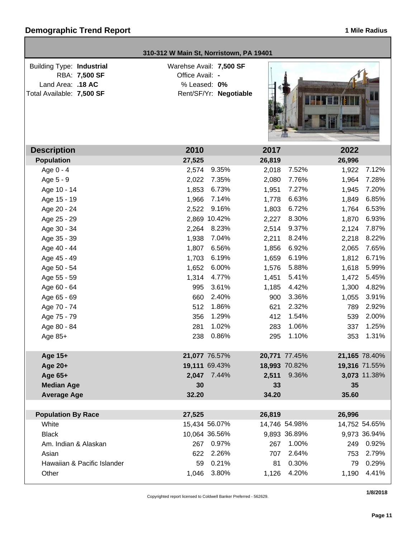|                                                                                                     | 310-312 W Main St, Norristown, PA 19401 |                                                   |        |               |        |               |
|-----------------------------------------------------------------------------------------------------|-----------------------------------------|---------------------------------------------------|--------|---------------|--------|---------------|
| <b>Building Type: Industrial</b><br>RBA: 7,500 SF<br>Land Area: .18 AC<br>Total Available: 7,500 SF | Office Avail: -<br>% Leased: 0%         | Warehse Avail: 7,500 SF<br>Rent/SF/Yr: Negotiable |        |               |        |               |
| <b>Description</b>                                                                                  | 2010                                    |                                                   | 2017   |               | 2022   |               |
| <b>Population</b>                                                                                   | 27,525                                  |                                                   | 26,819 |               | 26,996 |               |
| Age 0 - 4                                                                                           | 2,574                                   | 9.35%                                             | 2,018  | 7.52%         | 1,922  | 7.12%         |
| Age 5 - 9                                                                                           | 2,022                                   | 7.35%                                             | 2,080  | 7.76%         | 1,964  | 7.28%         |
| Age 10 - 14                                                                                         | 1,853                                   | 6.73%                                             | 1,951  | 7.27%         | 1,945  | 7.20%         |
| Age 15 - 19                                                                                         | 1,966                                   | 7.14%                                             | 1,778  | 6.63%         | 1,849  | 6.85%         |
| Age 20 - 24                                                                                         | 2,522                                   | 9.16%                                             | 1,803  | 6.72%         | 1,764  | 6.53%         |
| Age 25 - 29                                                                                         |                                         | 2,869 10.42%                                      | 2,227  | 8.30%         | 1,870  | 6.93%         |
| Age 30 - 34                                                                                         | 2,264                                   | 8.23%                                             | 2,514  | 9.37%         | 2,124  | 7.87%         |
| Age 35 - 39                                                                                         | 1,938                                   | 7.04%                                             | 2,211  | 8.24%         | 2,218  | 8.22%         |
| Age 40 - 44                                                                                         | 1,807                                   | 6.56%                                             | 1,856  | 6.92%         | 2,065  | 7.65%         |
| Age 45 - 49                                                                                         | 1,703                                   | 6.19%                                             | 1,659  | 6.19%         | 1,812  | 6.71%         |
| Age 50 - 54                                                                                         | 1,652                                   | 6.00%                                             | 1,576  | 5.88%         | 1,618  | 5.99%         |
| Age 55 - 59                                                                                         | 1,314                                   | 4.77%                                             | 1,451  | 5.41%         | 1,472  | 5.45%         |
| Age 60 - 64                                                                                         | 995                                     | 3.61%                                             | 1,185  | 4.42%         | 1,300  | 4.82%         |
| Age 65 - 69                                                                                         | 660                                     | 2.40%                                             | 900    | 3.36%         | 1,055  | 3.91%         |
| Age 70 - 74                                                                                         | 512                                     | 1.86%                                             | 621    | 2.32%         | 789    | 2.92%         |
| Age 75 - 79                                                                                         | 356                                     | 1.29%                                             | 412    | 1.54%         | 539    | 2.00%         |
| Age 80 - 84                                                                                         | 281                                     | 1.02%                                             | 283    | 1.06%         | 337    | 1.25%         |
| Age 85+                                                                                             | 238                                     | 0.86%                                             | 295    | 1.10%         | 353    | 1.31%         |
| Age 15+                                                                                             |                                         | 21,077 76.57%                                     |        | 20,771 77.45% |        | 21,165 78.40% |
| Age 20+                                                                                             |                                         | 19,111 69.43%                                     |        | 18,993 70.82% |        | 19,316 71.55% |
| Age 65+                                                                                             | 2,047                                   | 7.44%                                             | 2,511  | 9.36%         |        | 3,073 11.38%  |
| <b>Median Age</b>                                                                                   | 30                                      |                                                   | 33     |               | 35     |               |
| <b>Average Age</b>                                                                                  | 32.20                                   |                                                   | 34.20  |               | 35.60  |               |
| <b>Population By Race</b>                                                                           | 27,525                                  |                                                   | 26,819 |               | 26,996 |               |
| White                                                                                               |                                         | 15,434 56.07%                                     |        | 14,746 54.98% |        | 14,752 54.65% |
| <b>Black</b>                                                                                        |                                         | 10,064 36.56%                                     |        | 9,893 36.89%  |        | 9,973 36.94%  |
| Am. Indian & Alaskan                                                                                | 267                                     | 0.97%                                             | 267    | 1.00%         | 249    | 0.92%         |
| Asian                                                                                               | 622                                     | 2.26%                                             | 707    | 2.64%         | 753    | 2.79%         |
| Hawaiian & Pacific Islander                                                                         | 59                                      | 0.21%                                             | 81     | 0.30%         | 79     | 0.29%         |
| Other                                                                                               | 1,046                                   | 3.80%                                             | 1,126  | 4.20%         | 1,190  | 4.41%         |
|                                                                                                     |                                         |                                                   |        |               |        |               |